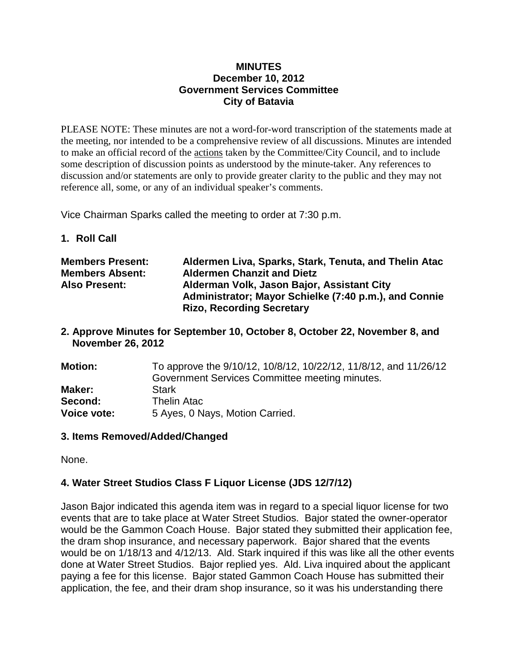#### **MINUTES December 10, 2012 Government Services Committee City of Batavia**

PLEASE NOTE: These minutes are not a word-for-word transcription of the statements made at the meeting, nor intended to be a comprehensive review of all discussions. Minutes are intended to make an official record of the actions taken by the Committee/City Council, and to include some description of discussion points as understood by the minute-taker. Any references to discussion and/or statements are only to provide greater clarity to the public and they may not reference all, some, or any of an individual speaker's comments.

Vice Chairman Sparks called the meeting to order at 7:30 p.m.

**1. Roll Call**

| <b>Members Present:</b> | Aldermen Liva, Sparks, Stark, Tenuta, and Thelin Atac |
|-------------------------|-------------------------------------------------------|
| <b>Members Absent:</b>  | <b>Aldermen Chanzit and Dietz</b>                     |
| <b>Also Present:</b>    | Alderman Volk, Jason Bajor, Assistant City            |
|                         | Administrator; Mayor Schielke (7:40 p.m.), and Connie |
|                         | <b>Rizo, Recording Secretary</b>                      |

**2. Approve Minutes for September 10, October 8, October 22, November 8, and November 26, 2012**

| <b>Motion:</b>     | To approve the 9/10/12, 10/8/12, 10/22/12, 11/8/12, and 11/26/12 |
|--------------------|------------------------------------------------------------------|
|                    | Government Services Committee meeting minutes.                   |
| Maker:             | <b>Stark</b>                                                     |
| Second:            | <b>Thelin Atac</b>                                               |
| <b>Voice vote:</b> | 5 Ayes, 0 Nays, Motion Carried.                                  |

#### **3. Items Removed/Added/Changed**

None.

# **4. Water Street Studios Class F Liquor License (JDS 12/7/12)**

Jason Bajor indicated this agenda item was in regard to a special liquor license for two events that are to take place at Water Street Studios. Bajor stated the owner-operator would be the Gammon Coach House. Bajor stated they submitted their application fee, the dram shop insurance, and necessary paperwork. Bajor shared that the events would be on 1/18/13 and 4/12/13. Ald. Stark inquired if this was like all the other events done at Water Street Studios. Bajor replied yes. Ald. Liva inquired about the applicant paying a fee for this license. Bajor stated Gammon Coach House has submitted their application, the fee, and their dram shop insurance, so it was his understanding there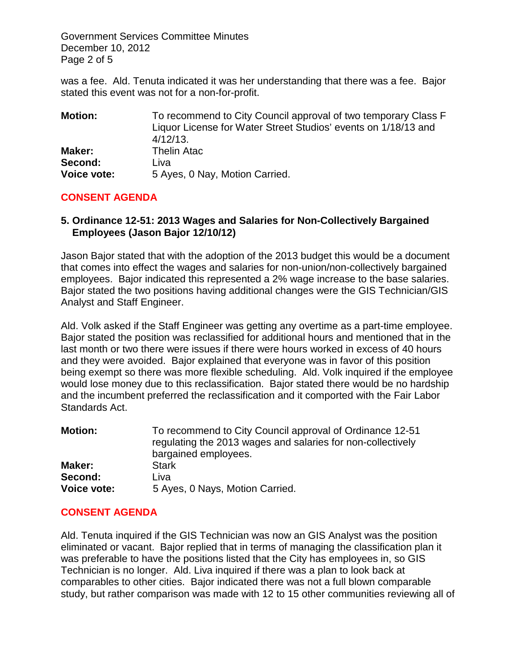Government Services Committee Minutes December 10, 2012 Page 2 of 5

was a fee. Ald. Tenuta indicated it was her understanding that there was a fee. Bajor stated this event was not for a non-for-profit.

| <b>Motion:</b>     | To recommend to City Council approval of two temporary Class F |
|--------------------|----------------------------------------------------------------|
|                    | Liquor License for Water Street Studios' events on 1/18/13 and |
|                    | $4/12/13$ .                                                    |
| Maker:             | <b>Thelin Atac</b>                                             |
| Second:            | Liva                                                           |
| <b>Voice vote:</b> | 5 Ayes, 0 Nay, Motion Carried.                                 |

#### **CONSENT AGENDA**

## **5. Ordinance 12-51: 2013 Wages and Salaries for Non-Collectively Bargained Employees (Jason Bajor 12/10/12)**

Jason Bajor stated that with the adoption of the 2013 budget this would be a document that comes into effect the wages and salaries for non-union/non-collectively bargained employees. Bajor indicated this represented a 2% wage increase to the base salaries. Bajor stated the two positions having additional changes were the GIS Technician/GIS Analyst and Staff Engineer.

Ald. Volk asked if the Staff Engineer was getting any overtime as a part-time employee. Bajor stated the position was reclassified for additional hours and mentioned that in the last month or two there were issues if there were hours worked in excess of 40 hours and they were avoided. Bajor explained that everyone was in favor of this position being exempt so there was more flexible scheduling. Ald. Volk inquired if the employee would lose money due to this reclassification. Bajor stated there would be no hardship and the incumbent preferred the reclassification and it comported with the Fair Labor Standards Act.

| <b>Motion:</b>     | To recommend to City Council approval of Ordinance 12-51<br>regulating the 2013 wages and salaries for non-collectively<br>bargained employees. |
|--------------------|-------------------------------------------------------------------------------------------------------------------------------------------------|
| Maker:             | <b>Stark</b>                                                                                                                                    |
| Second:            | Liva                                                                                                                                            |
| <b>Voice vote:</b> | 5 Ayes, 0 Nays, Motion Carried.                                                                                                                 |

# **CONSENT AGENDA**

Ald. Tenuta inquired if the GIS Technician was now an GIS Analyst was the position eliminated or vacant. Bajor replied that in terms of managing the classification plan it was preferable to have the positions listed that the City has employees in, so GIS Technician is no longer. Ald. Liva inquired if there was a plan to look back at comparables to other cities. Bajor indicated there was not a full blown comparable study, but rather comparison was made with 12 to 15 other communities reviewing all of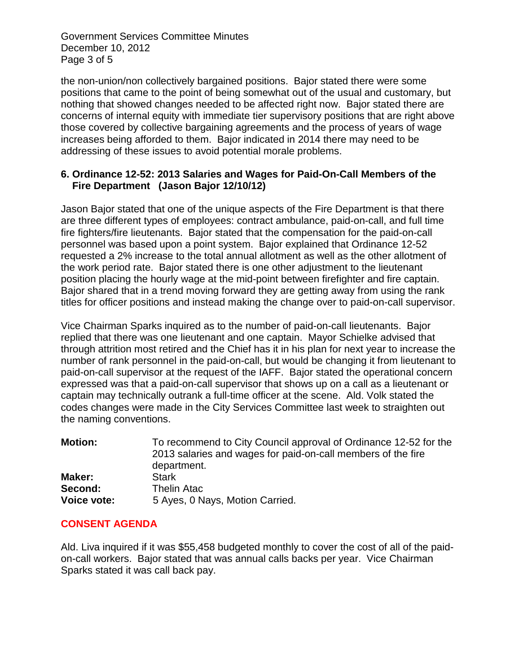Government Services Committee Minutes December 10, 2012 Page 3 of 5

the non-union/non collectively bargained positions. Bajor stated there were some positions that came to the point of being somewhat out of the usual and customary, but nothing that showed changes needed to be affected right now. Bajor stated there are concerns of internal equity with immediate tier supervisory positions that are right above those covered by collective bargaining agreements and the process of years of wage increases being afforded to them. Bajor indicated in 2014 there may need to be addressing of these issues to avoid potential morale problems.

## **6. Ordinance 12-52: 2013 Salaries and Wages for Paid-On-Call Members of the Fire Department (Jason Bajor 12/10/12)**

Jason Bajor stated that one of the unique aspects of the Fire Department is that there are three different types of employees: contract ambulance, paid-on-call, and full time fire fighters/fire lieutenants. Bajor stated that the compensation for the paid-on-call personnel was based upon a point system. Bajor explained that Ordinance 12-52 requested a 2% increase to the total annual allotment as well as the other allotment of the work period rate. Bajor stated there is one other adjustment to the lieutenant position placing the hourly wage at the mid-point between firefighter and fire captain. Bajor shared that in a trend moving forward they are getting away from using the rank titles for officer positions and instead making the change over to paid-on-call supervisor.

Vice Chairman Sparks inquired as to the number of paid-on-call lieutenants. Bajor replied that there was one lieutenant and one captain. Mayor Schielke advised that through attrition most retired and the Chief has it in his plan for next year to increase the number of rank personnel in the paid-on-call, but would be changing it from lieutenant to paid-on-call supervisor at the request of the IAFF. Bajor stated the operational concern expressed was that a paid-on-call supervisor that shows up on a call as a lieutenant or captain may technically outrank a full-time officer at the scene. Ald. Volk stated the codes changes were made in the City Services Committee last week to straighten out the naming conventions.

| <b>Motion:</b>     | To recommend to City Council approval of Ordinance 12-52 for the |
|--------------------|------------------------------------------------------------------|
|                    | 2013 salaries and wages for paid-on-call members of the fire     |
|                    | department.                                                      |
| Maker:             | <b>Stark</b>                                                     |
| Second:            | <b>Thelin Atac</b>                                               |
| <b>Voice vote:</b> | 5 Ayes, 0 Nays, Motion Carried.                                  |

#### **CONSENT AGENDA**

Ald. Liva inquired if it was \$55,458 budgeted monthly to cover the cost of all of the paidon-call workers. Bajor stated that was annual calls backs per year. Vice Chairman Sparks stated it was call back pay.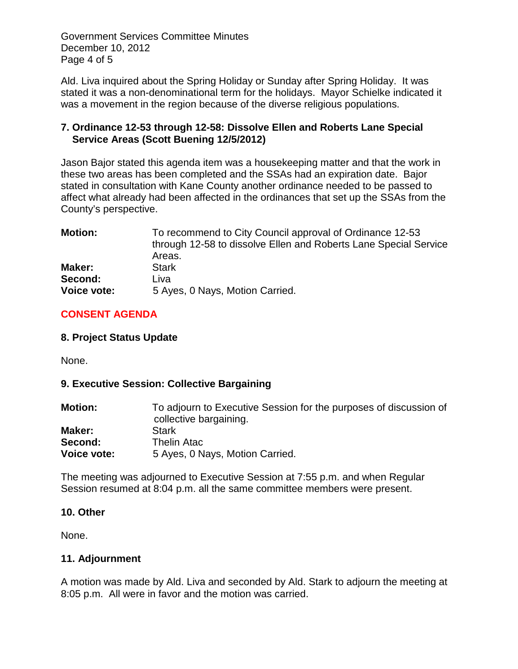Government Services Committee Minutes December 10, 2012 Page 4 of 5

Ald. Liva inquired about the Spring Holiday or Sunday after Spring Holiday. It was stated it was a non-denominational term for the holidays. Mayor Schielke indicated it was a movement in the region because of the diverse religious populations.

## **7. Ordinance 12-53 through 12-58: Dissolve Ellen and Roberts Lane Special Service Areas (Scott Buening 12/5/2012)**

Jason Bajor stated this agenda item was a housekeeping matter and that the work in these two areas has been completed and the SSAs had an expiration date. Bajor stated in consultation with Kane County another ordinance needed to be passed to affect what already had been affected in the ordinances that set up the SSAs from the County's perspective.

| <b>Motion:</b>     | To recommend to City Council approval of Ordinance 12-53         |
|--------------------|------------------------------------------------------------------|
|                    | through 12-58 to dissolve Ellen and Roberts Lane Special Service |
|                    | Areas.                                                           |
| Maker:             | <b>Stark</b>                                                     |
| Second:            | Liva                                                             |
| <b>Voice vote:</b> | 5 Ayes, 0 Nays, Motion Carried.                                  |

# **CONSENT AGENDA**

## **8. Project Status Update**

None.

# **9. Executive Session: Collective Bargaining**

| <b>Motion:</b>     | To adjourn to Executive Session for the purposes of discussion of<br>collective bargaining. |
|--------------------|---------------------------------------------------------------------------------------------|
| Maker:             | <b>Stark</b>                                                                                |
| Second:            | <b>Thelin Atac</b>                                                                          |
| <b>Voice vote:</b> | 5 Ayes, 0 Nays, Motion Carried.                                                             |

The meeting was adjourned to Executive Session at 7:55 p.m. and when Regular Session resumed at 8:04 p.m. all the same committee members were present.

#### **10. Other**

None.

#### **11. Adjournment**

A motion was made by Ald. Liva and seconded by Ald. Stark to adjourn the meeting at 8:05 p.m. All were in favor and the motion was carried.